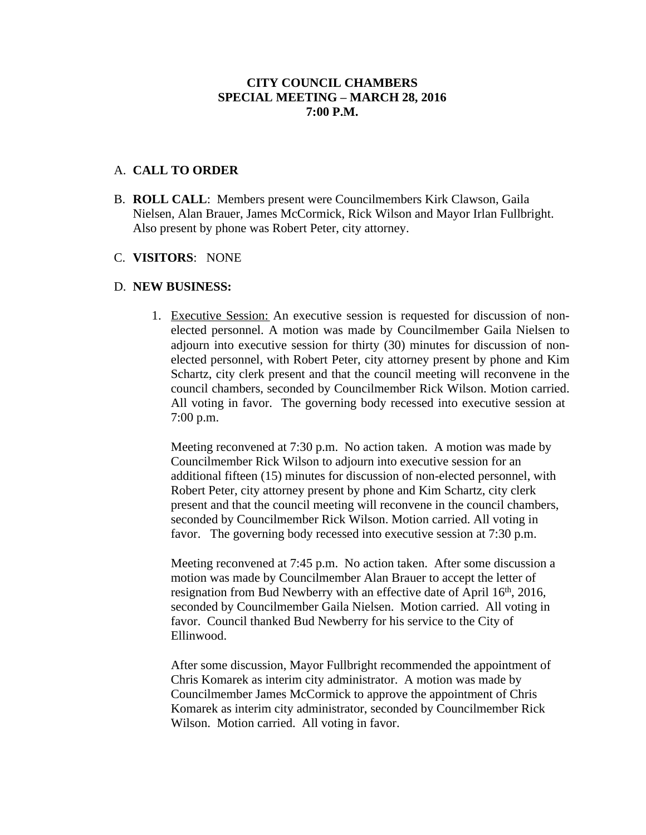## **CITY COUNCIL CHAMBERS SPECIAL MEETING – MARCH 28, 2016 7:00 P.M.**

### A. **CALL TO ORDER**

B. **ROLL CALL**: Members present were Councilmembers Kirk Clawson, Gaila Nielsen, Alan Brauer, James McCormick, Rick Wilson and Mayor Irlan Fullbright. Also present by phone was Robert Peter, city attorney.

#### C. **VISITORS**: NONE

#### D. **NEW BUSINESS:**

1. Executive Session: An executive session is requested for discussion of nonelected personnel. A motion was made by Councilmember Gaila Nielsen to adjourn into executive session for thirty (30) minutes for discussion of nonelected personnel, with Robert Peter, city attorney present by phone and Kim Schartz, city clerk present and that the council meeting will reconvene in the council chambers, seconded by Councilmember Rick Wilson. Motion carried. All voting in favor. The governing body recessed into executive session at 7:00 p.m.

Meeting reconvened at 7:30 p.m. No action taken. A motion was made by Councilmember Rick Wilson to adjourn into executive session for an additional fifteen (15) minutes for discussion of non-elected personnel, with Robert Peter, city attorney present by phone and Kim Schartz, city clerk present and that the council meeting will reconvene in the council chambers, seconded by Councilmember Rick Wilson. Motion carried. All voting in favor. The governing body recessed into executive session at 7:30 p.m.

Meeting reconvened at 7:45 p.m. No action taken. After some discussion a motion was made by Councilmember Alan Brauer to accept the letter of resignation from Bud Newberry with an effective date of April 16<sup>th</sup>, 2016, seconded by Councilmember Gaila Nielsen. Motion carried. All voting in favor. Council thanked Bud Newberry for his service to the City of Ellinwood.

After some discussion, Mayor Fullbright recommended the appointment of Chris Komarek as interim city administrator. A motion was made by Councilmember James McCormick to approve the appointment of Chris Komarek as interim city administrator, seconded by Councilmember Rick Wilson. Motion carried. All voting in favor.